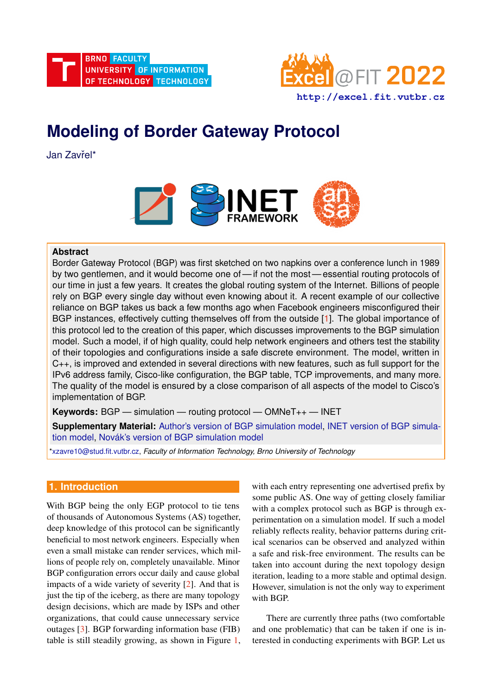

# **Modeling of Border Gateway Protocol**

Jan Zavřel\*



# **Abstract**

Border Gateway Protocol (BGP) was first sketched on two napkins over a conference lunch in 1989 by two gentlemen, and it would become one of — if not the most — essential routing protocols of our time in just a few years. It creates the global routing system of the Internet. Billions of people rely on BGP every single day without even knowing about it. A recent example of our collective reliance on BGP takes us back a few months ago when Facebook engineers misconfigured their BGP instances, effectively cutting themselves off from the outside [\[1\]](#page-6-0). The global importance of this protocol led to the creation of this paper, which discusses improvements to the BGP simulation model. Such a model, if of high quality, could help network engineers and others test the stability of their topologies and configurations inside a safe discrete environment. The model, written in C++, is improved and extended in several directions with new features, such as full support for the IPv6 address family, Cisco-like configuration, the BGP table, TCP improvements, and many more. The quality of the model is ensured by a close comparison of all aspects of the model to Cisco's implementation of BGP.

**Keywords:** BGP — simulation — routing protocol — OMNeT++ — INET

**Supplementary Material:** [Author's version of BGP simulation model,](https://github.com/AwziNihilist/inet/tree/topic/ANSA-BGP/src/inet/routing/bgpv4) [INET version of BGP simula](https://github.com/inet-framework/inet/tree/master/src/inet/routing/bgpv4)[tion model,](https://github.com/inet-framework/inet/tree/master/src/inet/routing/bgpv4) Novák's version of BGP simulation model

[\\*xzavre10@stud.fit.vutbr.cz,](mailto:xzavre10@stud.fit.vutbr.cz) *Faculty of Information Technology, Brno University of Technology*

# **1. Introduction**

With BGP being the only EGP protocol to tie tens of thousands of Autonomous Systems (AS) together, deep knowledge of this protocol can be significantly beneficial to most network engineers. Especially when even a small mistake can render services, which millions of people rely on, completely unavailable. Minor BGP configuration errors occur daily and cause global impacts of a wide variety of severity [\[2\]](#page-6-1). And that is just the tip of the iceberg, as there are many topology design decisions, which are made by ISPs and other organizations, that could cause unnecessary service outages [\[3\]](#page-6-2). BGP forwarding information base (FIB) table is still steadily growing, as shown in Figure [1,](#page-1-0) with each entry representing one advertised prefix by some public AS. One way of getting closely familiar with a complex protocol such as BGP is through experimentation on a simulation model. If such a model reliably reflects reality, behavior patterns during critical scenarios can be observed and analyzed within a safe and risk-free environment. The results can be taken into account during the next topology design iteration, leading to a more stable and optimal design. However, simulation is not the only way to experiment with BGP.

There are currently three paths (two comfortable and one problematic) that can be taken if one is interested in conducting experiments with BGP. Let us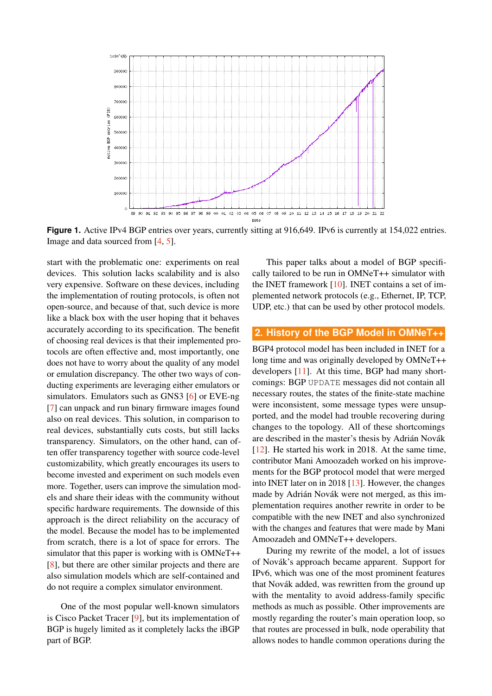<span id="page-1-0"></span>

Figure 1. Active IPv4 BGP entries over years, currently sitting at 916,649. IPv6 is currently at 154,022 entries. Image and data sourced from [\[4,](#page-6-3) [5\]](#page-6-4).

start with the problematic one: experiments on real devices. This solution lacks scalability and is also very expensive. Software on these devices, including the implementation of routing protocols, is often not open-source, and because of that, such device is more like a black box with the user hoping that it behaves accurately according to its specification. The benefit of choosing real devices is that their implemented protocols are often effective and, most importantly, one does not have to worry about the quality of any model or emulation discrepancy. The other two ways of conducting experiments are leveraging either emulators or simulators. Emulators such as GNS3 [\[6\]](#page-6-5) or EVE-ng [\[7\]](#page-6-6) can unpack and run binary firmware images found also on real devices. This solution, in comparison to real devices, substantially cuts costs, but still lacks transparency. Simulators, on the other hand, can often offer transparency together with source code-level customizability, which greatly encourages its users to become invested and experiment on such models even more. Together, users can improve the simulation models and share their ideas with the community without specific hardware requirements. The downside of this approach is the direct reliability on the accuracy of the model. Because the model has to be implemented from scratch, there is a lot of space for errors. The simulator that this paper is working with is OMNeT++ [\[8\]](#page-6-7), but there are other similar projects and there are also simulation models which are self-contained and do not require a complex simulator environment.

One of the most popular well-known simulators is Cisco Packet Tracer [\[9\]](#page-6-8), but its implementation of BGP is hugely limited as it completely lacks the iBGP part of BGP.

This paper talks about a model of BGP specifically tailored to be run in OMNeT++ simulator with the INET framework  $[10]$ . INET contains a set of implemented network protocols (e.g., Ethernet, IP, TCP, UDP, etc.) that can be used by other protocol models.

## **2. History of the BGP Model in OMNeT++**

BGP4 protocol model has been included in INET for a long time and was originally developed by OMNeT++ developers [\[11\]](#page-6-10). At this time, BGP had many shortcomings: BGP UPDATE messages did not contain all necessary routes, the states of the finite-state machine were inconsistent, some message types were unsupported, and the model had trouble recovering during changes to the topology. All of these shortcomings are described in the master's thesis by Adrián Novák [\[12\]](#page-6-11). He started his work in 2018. At the same time, contributor Mani Amoozadeh worked on his improvements for the BGP protocol model that were merged into INET later on in 2018 [\[13\]](#page-6-12). However, the changes made by Adrián Novák were not merged, as this implementation requires another rewrite in order to be compatible with the new INET and also synchronized with the changes and features that were made by Mani Amoozadeh and OMNeT++ developers.

During my rewrite of the model, a lot of issues of Novak's approach became apparent. Support for ´ IPv6, which was one of the most prominent features that Novák added, was rewritten from the ground up with the mentality to avoid address-family specific methods as much as possible. Other improvements are mostly regarding the router's main operation loop, so that routes are processed in bulk, node operability that allows nodes to handle common operations during the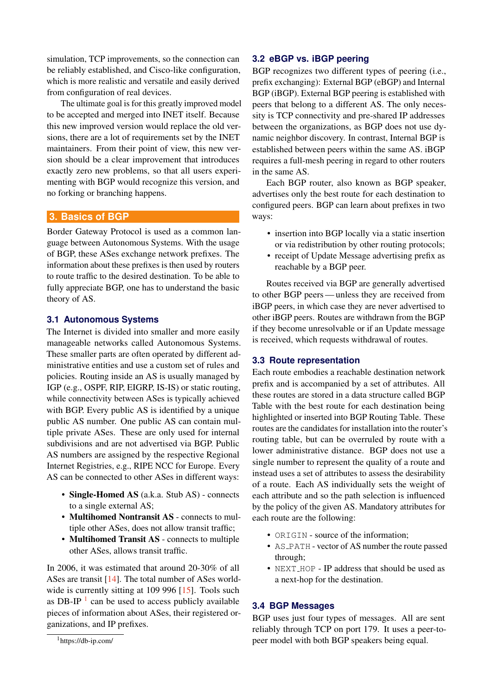simulation, TCP improvements, so the connection can be reliably established, and Cisco-like configuration, which is more realistic and versatile and easily derived from configuration of real devices.

The ultimate goal is for this greatly improved model to be accepted and merged into INET itself. Because this new improved version would replace the old versions, there are a lot of requirements set by the INET maintainers. From their point of view, this new version should be a clear improvement that introduces exactly zero new problems, so that all users experimenting with BGP would recognize this version, and no forking or branching happens.

# **3. Basics of BGP**

Border Gateway Protocol is used as a common language between Autonomous Systems. With the usage of BGP, these ASes exchange network prefixes. The information about these prefixes is then used by routers to route traffic to the desired destination. To be able to fully appreciate BGP, one has to understand the basic theory of AS.

## **3.1 Autonomous Systems**

The Internet is divided into smaller and more easily manageable networks called Autonomous Systems. These smaller parts are often operated by different administrative entities and use a custom set of rules and policies. Routing inside an AS is usually managed by IGP (e.g., OSPF, RIP, EIGRP, IS-IS) or static routing, while connectivity between ASes is typically achieved with BGP. Every public AS is identified by a unique public AS number. One public AS can contain multiple private ASes. These are only used for internal subdivisions and are not advertised via BGP. Public AS numbers are assigned by the respective Regional Internet Registries, e.g., RIPE NCC for Europe. Every AS can be connected to other ASes in different ways:

- Single-Homed AS (a.k.a. Stub AS) connects to a single external AS;
- Multihomed Nontransit AS connects to multiple other ASes, does not allow transit traffic;
- Multihomed Transit AS connects to multiple other ASes, allows transit traffic.

In 2006, it was estimated that around 20-30% of all ASes are transit [\[14\]](#page-7-0). The total number of ASes world-wide is currently sitting at 109 996 [\[15\]](#page-7-1). Tools such as DB-IP $<sup>1</sup>$  $<sup>1</sup>$  $<sup>1</sup>$  can be used to access publicly available</sup> pieces of information about ASes, their registered organizations, and IP prefixes.

# **3.2 eBGP vs. iBGP peering**

BGP recognizes two different types of peering (i.e., prefix exchanging): External BGP (eBGP) and Internal BGP (iBGP). External BGP peering is established with peers that belong to a different AS. The only necessity is TCP connectivity and pre-shared IP addresses between the organizations, as BGP does not use dynamic neighbor discovery. In contrast, Internal BGP is established between peers within the same AS. iBGP requires a full-mesh peering in regard to other routers in the same AS.

Each BGP router, also known as BGP speaker, advertises only the best route for each destination to configured peers. BGP can learn about prefixes in two ways:

- insertion into BGP locally via a static insertion or via redistribution by other routing protocols;
- receipt of Update Message advertising prefix as reachable by a BGP peer.

Routes received via BGP are generally advertised to other BGP peers — unless they are received from iBGP peers, in which case they are never advertised to other iBGP peers. Routes are withdrawn from the BGP if they become unresolvable or if an Update message is received, which requests withdrawal of routes.

#### **3.3 Route representation**

Each route embodies a reachable destination network prefix and is accompanied by a set of attributes. All these routes are stored in a data structure called BGP Table with the best route for each destination being highlighted or inserted into BGP Routing Table. These routes are the candidates for installation into the router's routing table, but can be overruled by route with a lower administrative distance. BGP does not use a single number to represent the quality of a route and instead uses a set of attributes to assess the desirability of a route. Each AS individually sets the weight of each attribute and so the path selection is influenced by the policy of the given AS. Mandatory attributes for each route are the following:

- ORIGIN source of the information;
- AS\_PATH vector of AS number the route passed through;
- NEXT\_HOP IP address that should be used as a next-hop for the destination.

#### **3.4 BGP Messages**

BGP uses just four types of messages. All are sent reliably through TCP on port 179. It uses a peer-topeer model with both BGP speakers being equal.

<span id="page-2-0"></span><sup>1</sup>https://db-ip.com/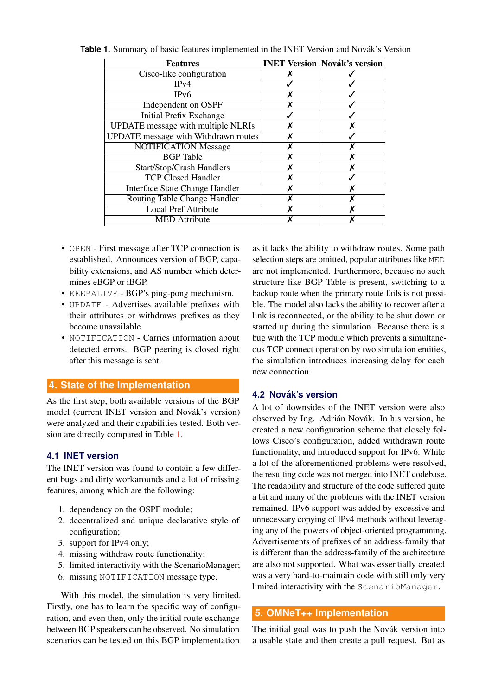| <b>Features</b>                             |   | <b>INET Version Novák's version</b> |
|---------------------------------------------|---|-------------------------------------|
| Cisco-like configuration                    |   |                                     |
| IPv4                                        |   |                                     |
| IPv6                                        |   |                                     |
| Independent on OSPF                         |   |                                     |
| <b>Initial Prefix Exchange</b>              |   |                                     |
| <b>UPDATE</b> message with multiple NLRIs   | x |                                     |
| <b>UPDATE</b> message with Withdrawn routes |   |                                     |
| <b>NOTIFICATION Message</b>                 |   |                                     |
| <b>BGP</b> Table                            |   | x                                   |
| <b>Start/Stop/Crash Handlers</b>            |   |                                     |
| <b>TCP Closed Handler</b>                   |   |                                     |
| <b>Interface State Change Handler</b>       |   |                                     |
| Routing Table Change Handler                | x | x                                   |
| <b>Local Pref Attribute</b>                 |   |                                     |
| <b>MED</b> Attribute                        |   |                                     |

<span id="page-3-0"></span>Table 1. Summary of basic features implemented in the INET Version and Novák's Version

- OPEN First message after TCP connection is established. Announces version of BGP, capability extensions, and AS number which determines eBGP or iBGP.
- KEEPALIVE BGP's ping-pong mechanism.
- UPDATE Advertises available prefixes with their attributes or withdraws prefixes as they become unavailable.
- NOTIFICATION Carries information about detected errors. BGP peering is closed right after this message is sent.

## **4. State of the Implementation**

As the first step, both available versions of the BGP model (current INET version and Novák's version) were analyzed and their capabilities tested. Both version are directly compared in Table [1.](#page-3-0)

## **4.1 INET version**

The INET version was found to contain a few different bugs and dirty workarounds and a lot of missing features, among which are the following:

- 1. dependency on the OSPF module;
- 2. decentralized and unique declarative style of configuration;
- 3. support for IPv4 only;
- 4. missing withdraw route functionality;
- 5. limited interactivity with the ScenarioManager;
- 6. missing NOTIFICATION message type.

With this model, the simulation is very limited. Firstly, one has to learn the specific way of configuration, and even then, only the initial route exchange between BGP speakers can be observed. No simulation scenarios can be tested on this BGP implementation

as it lacks the ability to withdraw routes. Some path selection steps are omitted, popular attributes like MED are not implemented. Furthermore, because no such structure like BGP Table is present, switching to a backup route when the primary route fails is not possible. The model also lacks the ability to recover after a link is reconnected, or the ability to be shut down or started up during the simulation. Because there is a bug with the TCP module which prevents a simultaneous TCP connect operation by two simulation entities, the simulation introduces increasing delay for each new connection.

## **4.2 Novak's version ´**

A lot of downsides of the INET version were also observed by Ing. Adrián Novák. In his version, he created a new configuration scheme that closely follows Cisco's configuration, added withdrawn route functionality, and introduced support for IPv6. While a lot of the aforementioned problems were resolved, the resulting code was not merged into INET codebase. The readability and structure of the code suffered quite a bit and many of the problems with the INET version remained. IPv6 support was added by excessive and unnecessary copying of IPv4 methods without leveraging any of the powers of object-oriented programming. Advertisements of prefixes of an address-family that is different than the address-family of the architecture are also not supported. What was essentially created was a very hard-to-maintain code with still only very limited interactivity with the ScenarioManager.

## **5. OMNeT++ Implementation**

The initial goal was to push the Novák version into a usable state and then create a pull request. But as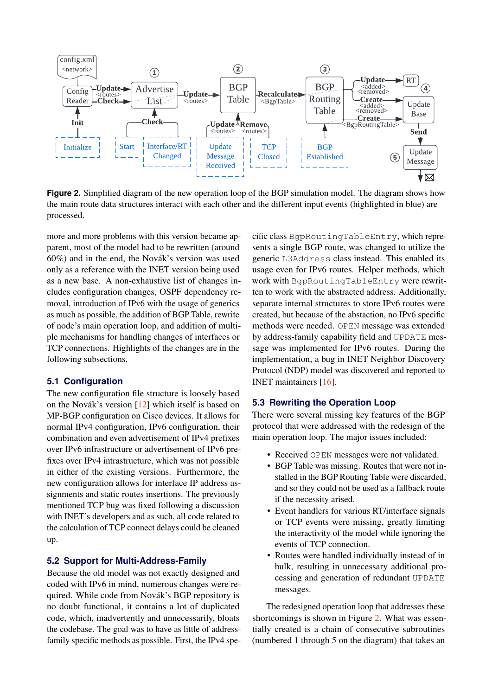<span id="page-4-0"></span>

**Figure 2.** Simplified diagram of the new operation loop of the BGP simulation model. The diagram shows how the main route data structures interact with each other and the different input events (highlighted in blue) are processed.

more and more problems with this version became apparent, most of the model had to be rewritten (around  $60\%$ ) and in the end, the Novák's version was used only as a reference with the INET version being used as a new base. A non-exhaustive list of changes includes configuration changes, OSPF dependency removal, introduction of IPv6 with the usage of generics as much as possible, the addition of BGP Table, rewrite of node's main operation loop, and addition of multiple mechanisms for handling changes of interfaces or TCP connections. Highlights of the changes are in the following subsections.

#### **5.1 Configuration**

The new configuration file structure is loosely based on the Novák's version  $[12]$  $[12]$  which itself is based on MP-BGP configuration on Cisco devices. It allows for normal IPv4 configuration, IPv6 configuration, their combination and even advertisement of IPv4 prefixes over IPv6 infrastructure or advertisement of IPv6 prefixes over IPv4 intrastructure, which was not possible in either of the existing versions. Furthermore, the new configuration allows for interface IP address assignments and static routes insertions. The previously mentioned TCP bug was fixed following a discussion with INET's developers and as such, all code related to the calculation of TCP connect delays could be cleaned up.

## **5.2 Support for Multi-Address-Family**

Because the old model was not exactly designed and coded with IPv6 in mind, numerous changes were required. While code from Novák's BGP repository is no doubt functional, it contains a lot of duplicated code, which, inadvertently and unnecessarily, bloats the codebase. The goal was to have as little of addressfamily specific methods as possible. First, the IPv4 specific class BgpRoutingTableEntry, which represents a single BGP route, was changed to utilize the generic L3Address class instead. This enabled its usage even for IPv6 routes. Helper methods, which work with BgpRoutingTableEntry were rewritten to work with the abstracted address. Additionally, separate internal structures to store IPv6 routes were created, but because of the abstaction, no IPv6 specific methods were needed. OPEN message was extended by address-family capability field and UPDATE message was implemented for IPv6 routes. During the implementation, a bug in INET Neighbor Discovery Protocol (NDP) model was discovered and reported to INET maintainers [\[16\]](#page-7-2).

## **5.3 Rewriting the Operation Loop**

There were several missing key features of the BGP protocol that were addressed with the redesign of the main operation loop. The major issues included:

- Received OPEN messages were not validated.
- BGP Table was missing. Routes that were not installed in the BGP Routing Table were discarded, and so they could not be used as a fallback route if the necessity arised.
- Event handlers for various RT/interface signals or TCP events were missing, greatly limiting the interactivity of the model while ignoring the events of TCP connection.
- Routes were handled individually instead of in bulk, resulting in unnecessary additional processing and generation of redundant UPDATE messages.

The redesigned operation loop that addresses these shortcomings is shown in Figure [2.](#page-4-0) What was essentially created is a chain of consecutive subroutines (numbered 1 through 5 on the diagram) that takes an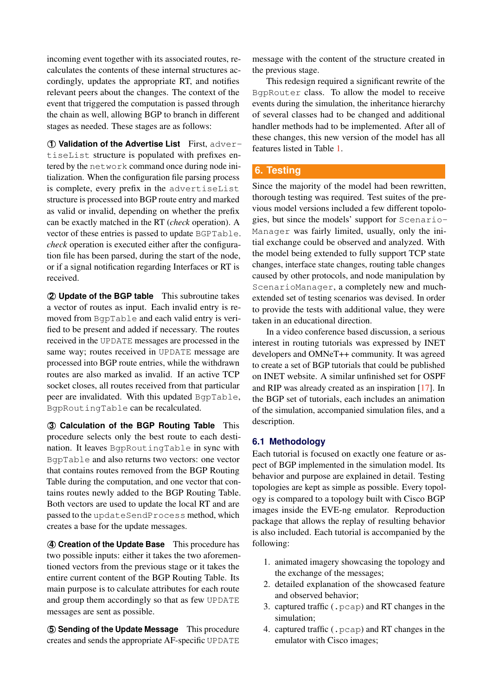incoming event together with its associated routes, recalculates the contents of these internal structures accordingly, updates the appropriate RT, and notifies relevant peers about the changes. The context of the event that triggered the computation is passed through the chain as well, allowing BGP to branch in different stages as needed. These stages are as follows:

⃝**1 Validation of the Advertise List** First, advertiseList structure is populated with prefixes entered by the network command once during node initialization. When the configuration file parsing process is complete, every prefix in the advertiseList structure is processed into BGP route entry and marked as valid or invalid, depending on whether the prefix can be exactly matched in the RT (*check* operation). A vector of these entries is passed to update BGPTable. *check* operation is executed either after the configuration file has been parsed, during the start of the node, or if a signal notification regarding Interfaces or RT is received.

⃝**2 Update of the BGP table** This subroutine takes a vector of routes as input. Each invalid entry is removed from BgpTable and each valid entry is verified to be present and added if necessary. The routes received in the UPDATE messages are processed in the same way; routes received in UPDATE message are processed into BGP route entries, while the withdrawn routes are also marked as invalid. If an active TCP socket closes, all routes received from that particular peer are invalidated. With this updated BgpTable, BgpRoutingTable can be recalculated.

⃝**3 Calculation of the BGP Routing Table** This procedure selects only the best route to each destination. It leaves BgpRoutingTable in sync with BgpTable and also returns two vectors: one vector that contains routes removed from the BGP Routing Table during the computation, and one vector that contains routes newly added to the BGP Routing Table. Both vectors are used to update the local RT and are passed to the updateSendProcess method, which creates a base for the update messages.

⃝**4 Creation of the Update Base** This procedure has two possible inputs: either it takes the two aforementioned vectors from the previous stage or it takes the entire current content of the BGP Routing Table. Its main purpose is to calculate attributes for each route and group them accordingly so that as few UPDATE messages are sent as possible.

⃝**5 Sending of the Update Message** This procedure creates and sends the appropriate AF-specific UPDATE message with the content of the structure created in the previous stage.

This redesign required a significant rewrite of the BgpRouter class. To allow the model to receive events during the simulation, the inheritance hierarchy of several classes had to be changed and additional handler methods had to be implemented. After all of these changes, this new version of the model has all features listed in Table [1.](#page-3-0)

# **6. Testing**

Since the majority of the model had been rewritten, thorough testing was required. Test suites of the previous model versions included a few different topologies, but since the models' support for Scenario-Manager was fairly limited, usually, only the initial exchange could be observed and analyzed. With the model being extended to fully support TCP state changes, interface state changes, routing table changes caused by other protocols, and node manipulation by ScenarioManager, a completely new and muchextended set of testing scenarios was devised. In order to provide the tests with additional value, they were taken in an educational direction.

In a video conference based discussion, a serious interest in routing tutorials was expressed by INET developers and OMNeT++ community. It was agreed to create a set of BGP tutorials that could be published on INET website. A similar unfinished set for OSPF and RIP was already created as an inspiration [\[17\]](#page-7-3). In the BGP set of tutorials, each includes an animation of the simulation, accompanied simulation files, and a description.

## **6.1 Methodology**

Each tutorial is focused on exactly one feature or aspect of BGP implemented in the simulation model. Its behavior and purpose are explained in detail. Testing topologies are kept as simple as possible. Every topology is compared to a topology built with Cisco BGP images inside the EVE-ng emulator. Reproduction package that allows the replay of resulting behavior is also included. Each tutorial is accompanied by the following:

- 1. animated imagery showcasing the topology and the exchange of the messages;
- 2. detailed explanation of the showcased feature and observed behavior;
- 3. captured traffic (.pcap) and RT changes in the simulation;
- 4. captured traffic (.pcap) and RT changes in the emulator with Cisco images;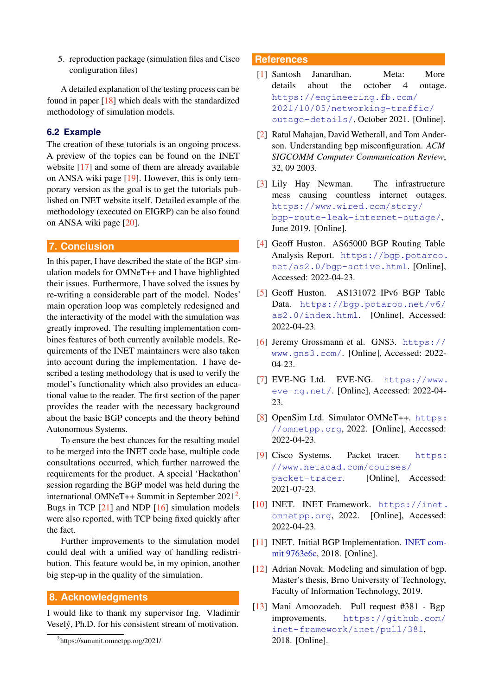5. reproduction package (simulation files and Cisco configuration files)

A detailed explanation of the testing process can be found in paper [\[18\]](#page-7-4) which deals with the standardized methodology of simulation models.

## **6.2 Example**

The creation of these tutorials is an ongoing process. A preview of the topics can be found on the INET website [\[17\]](#page-7-3) and some of them are already available on ANSA wiki page [\[19\]](#page-7-5). However, this is only temporary version as the goal is to get the tutorials published on INET website itself. Detailed example of the methodology (executed on EIGRP) can be also found on ANSA wiki page [\[20\]](#page-7-6).

#### **7. Conclusion**

In this paper, I have described the state of the BGP simulation models for OMNeT++ and I have highlighted their issues. Furthermore, I have solved the issues by re-writing a considerable part of the model. Nodes' main operation loop was completely redesigned and the interactivity of the model with the simulation was greatly improved. The resulting implementation combines features of both currently available models. Requirements of the INET maintainers were also taken into account during the implementation. I have described a testing methodology that is used to verify the model's functionality which also provides an educational value to the reader. The first section of the paper provides the reader with the necessary background about the basic BGP concepts and the theory behind Autonomous Systems.

To ensure the best chances for the resulting model to be merged into the INET code base, multiple code consultations occurred, which further narrowed the requirements for the product. A special 'Hackathon' session regarding the BGP model was held during the international OMNeT++ Summit in September  $2021^2$  $2021^2$ . Bugs in TCP [\[21\]](#page-7-7) and NDP [\[16\]](#page-7-2) simulation models were also reported, with TCP being fixed quickly after the fact.

Further improvements to the simulation model could deal with a unified way of handling redistribution. This feature would be, in my opinion, another big step-up in the quality of the simulation.

#### **8. Acknowledgments**

I would like to thank my supervisor Ing. Vladimír Vesely, Ph.D. for his consistent stream of motivation. ´

## **References**

- <span id="page-6-0"></span>[1] Santosh Janardhan. Meta: More details about the october 4 outage. [https://engineering.fb.com/](https://engineering.fb.com/2021/10/05/networking-traffic/outage-details/) [2021/10/05/networking-traffic/](https://engineering.fb.com/2021/10/05/networking-traffic/outage-details/) [outage-details/](https://engineering.fb.com/2021/10/05/networking-traffic/outage-details/), October 2021. [Online].
- <span id="page-6-1"></span>[2] Ratul Mahajan, David Wetherall, and Tom Anderson. Understanding bgp misconfiguration. *ACM SIGCOMM Computer Communication Review*, 32, 09 2003.
- <span id="page-6-2"></span>[3] Lily Hay Newman. The infrastructure mess causing countless internet outages. [https://www.wired.com/story/](https://www.wired.com/story/bgp-route-leak-internet-outage/) [bgp-route-leak-internet-outage/](https://www.wired.com/story/bgp-route-leak-internet-outage/), June 2019. [Online].
- <span id="page-6-3"></span>[4] Geoff Huston. AS65000 BGP Routing Table Analysis Report. [https://bgp.potaroo.](https://bgp.potaroo.net/as2.0/bgp-active.html) [net/as2.0/bgp-active.html](https://bgp.potaroo.net/as2.0/bgp-active.html). [Online], Accessed: 2022-04-23.
- <span id="page-6-4"></span>[5] Geoff Huston. AS131072 IPv6 BGP Table Data. [https://bgp.potaroo.net/v6/](https://bgp.potaroo.net/v6/as2.0/index.html) [as2.0/index.html](https://bgp.potaroo.net/v6/as2.0/index.html). [Online], Accessed: 2022-04-23.
- <span id="page-6-5"></span>[6] Jeremy Grossmann et al. GNS3. [https://](https://www.gns3.com/) [www.gns3.com/](https://www.gns3.com/). [Online], Accessed: 2022- 04-23.
- <span id="page-6-6"></span>[7] EVE-NG Ltd. EVE-NG. [https://www.](https://www.eve-ng.net/) [eve-ng.net/](https://www.eve-ng.net/). [Online], Accessed: 2022-04- 23.
- <span id="page-6-7"></span>[8] OpenSim Ltd. Simulator OMNeT++. [https:](https://omnetpp.org) [//omnetpp.org](https://omnetpp.org), 2022. [Online], Accessed: 2022-04-23.
- <span id="page-6-8"></span>[9] Cisco Systems. Packet tracer. [https:](https://www.netacad.com/courses/packet-tracer) [//www.netacad.com/courses/](https://www.netacad.com/courses/packet-tracer) [packet-tracer](https://www.netacad.com/courses/packet-tracer). [Online], Accessed: 2021-07-23.
- <span id="page-6-9"></span>[10] INET. INET Framework. [https://inet.](https://inet.omnetpp.org) [omnetpp.org](https://inet.omnetpp.org), 2022. [Online], Accessed: 2022-04-23.
- <span id="page-6-10"></span>[11] INET. Initial BGP Implementation. [INET com]( https://github.com/inet-framework/inet/tree/9763e6c766205c91873f322eb2a7530b2581fd9a/src/inet/routing/bgpv4)[mit 9763e6c,]( https://github.com/inet-framework/inet/tree/9763e6c766205c91873f322eb2a7530b2581fd9a/src/inet/routing/bgpv4) 2018. [Online].
- <span id="page-6-11"></span>[12] Adrian Novak. Modeling and simulation of bgp. Master's thesis, Brno University of Technology, Faculty of Information Technology, 2019.
- <span id="page-6-12"></span>[13] Mani Amoozadeh. Pull request #381 - Bgp improvements. [https://github.com/](https://github.com/inet-framework/inet/pull/381) [inet-framework/inet/pull/381](https://github.com/inet-framework/inet/pull/381), 2018. [Online].

<span id="page-6-13"></span><sup>2</sup>https://summit.omnetpp.org/2021/